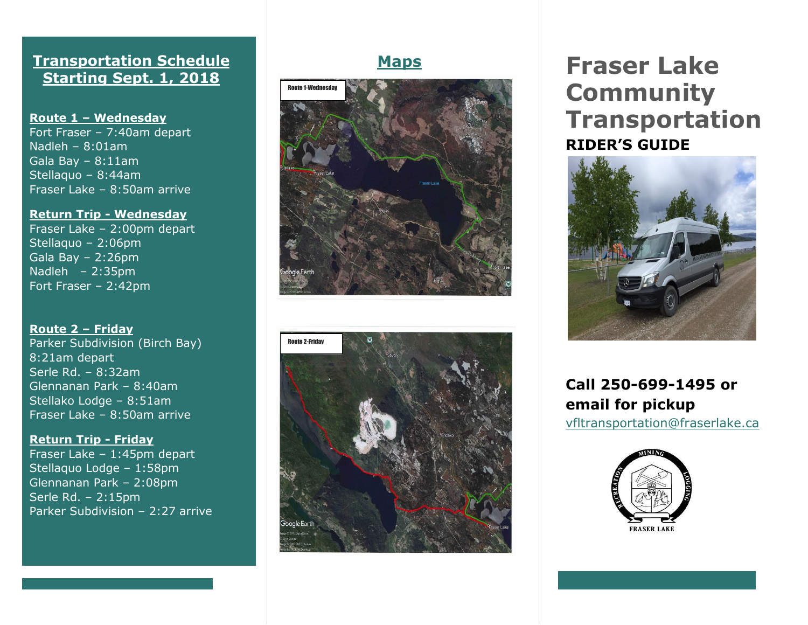## **Transportation Schedule Starting Sept. 1, 2018**

**Route 1 – Wednesday** Fort Fraser – 7:40am depart

Nadleh – 8:01am Gala Bay – 8:11am Stellaquo – 8:44am Fraser Lake – 8:50am arrive

#### **Return Trip - Wednesday**

Fraser Lake – 2:00pm depart Stellaquo – 2:06pm Gala Bay – 2:26pm Nadleh – 2:35pm Fort Fraser – 2:42pm

#### **Route 2 – Friday**

Parker Subdivision (Birch Bay) 8:21am depart Serle Rd. – 8:32am Glennanan Park – 8:40am Stellako Lodge – 8:51am Fraser Lake – 8:50am arrive

#### **Return Trip - Friday**

Fraser Lake – 1:45pm depart Stellaquo Lodge – 1:58pm Glennanan Park – 2:08pm Serle Rd. – 2:15pm Parker Subdivision – 2:27 arrive





# **Maps Fraser Lake Community Transportation RIDER'S GUIDE**



**Call 250 -699 -1495 or email for pickup**

[vfltransportation@fraserlake.ca](mailto:vfltransportation@fraserlake.ca)